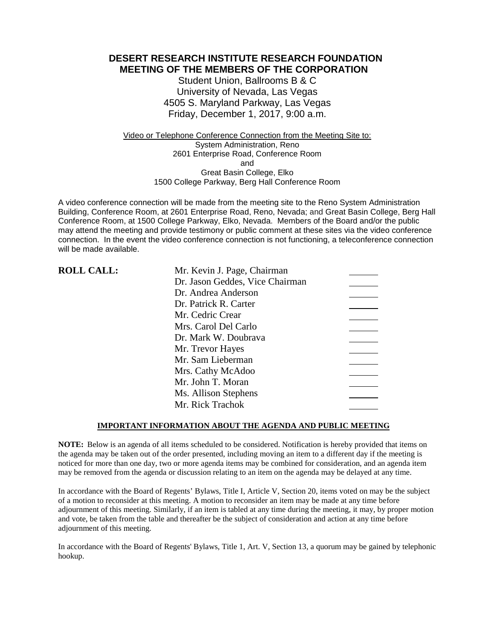**DESERT RESEARCH INSTITUTE RESEARCH FOUNDATION MEETING OF THE MEMBERS OF THE CORPORATION**

> Student Union, Ballrooms B & C University of Nevada, Las Vegas 4505 S. Maryland Parkway, Las Vegas Friday, December 1, 2017, 9:00 a.m.

Video or Telephone Conference Connection from the Meeting Site to: System Administration, Reno 2601 Enterprise Road, Conference Room and Great Basin College, Elko 1500 College Parkway, Berg Hall Conference Room

A video conference connection will be made from the meeting site to the Reno System Administration Building, Conference Room, at 2601 Enterprise Road, Reno, Nevada; and Great Basin College, Berg Hall Conference Room, at 1500 College Parkway, Elko, Nevada. Members of the Board and/or the public may attend the meeting and provide testimony or public comment at these sites via the video conference connection. In the event the video conference connection is not functioning, a teleconference connection will be made available.

| <b>ROLL CALL:</b> | Mr. Kevin J. Page, Chairman     |
|-------------------|---------------------------------|
|                   | Dr. Jason Geddes, Vice Chairman |
|                   | Dr. Andrea Anderson             |
|                   | Dr. Patrick R. Carter           |
|                   | Mr. Cedric Crear                |
|                   | Mrs. Carol Del Carlo            |
|                   | Dr. Mark W. Doubrava            |
|                   | Mr. Trevor Hayes                |
|                   | Mr. Sam Lieberman               |
|                   | Mrs. Cathy McAdoo               |
|                   | Mr. John T. Moran               |
|                   | Ms. Allison Stephens            |
|                   | Mr. Rick Trachok                |

### **IMPORTANT INFORMATION ABOUT THE AGENDA AND PUBLIC MEETING**

**NOTE:** Below is an agenda of all items scheduled to be considered. Notification is hereby provided that items on the agenda may be taken out of the order presented, including moving an item to a different day if the meeting is noticed for more than one day, two or more agenda items may be combined for consideration, and an agenda item may be removed from the agenda or discussion relating to an item on the agenda may be delayed at any time.

In accordance with the Board of Regents' Bylaws, Title I, Article V, Section 20, items voted on may be the subject of a motion to reconsider at this meeting. A motion to reconsider an item may be made at any time before adjournment of this meeting. Similarly, if an item is tabled at any time during the meeting, it may, by proper motion and vote, be taken from the table and thereafter be the subject of consideration and action at any time before adjournment of this meeting.

In accordance with the Board of Regents' Bylaws, Title 1, Art. V, Section 13, a quorum may be gained by telephonic hookup.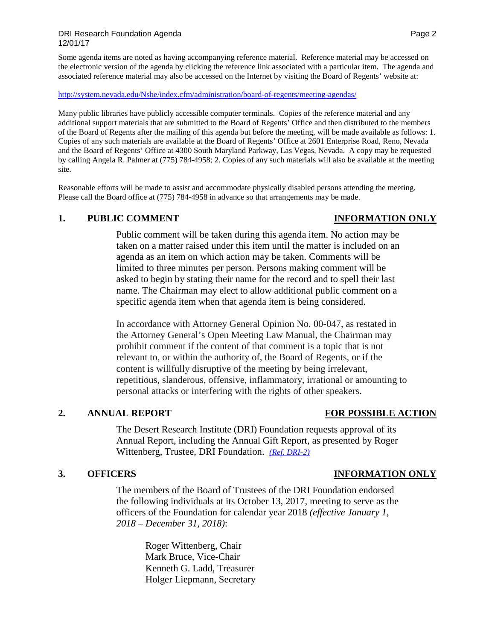Some agenda items are noted as having accompanying reference material. Reference material may be accessed on the electronic version of the agenda by clicking the reference link associated with a particular item. The agenda and associated reference material may also be accessed on the Internet by visiting the Board of Regents' website at:

### <http://system.nevada.edu/Nshe/index.cfm/administration/board-of-regents/meeting-agendas/>

Many public libraries have publicly accessible computer terminals. Copies of the reference material and any additional support materials that are submitted to the Board of Regents' Office and then distributed to the members of the Board of Regents after the mailing of this agenda but before the meeting, will be made available as follows: 1. Copies of any such materials are available at the Board of Regents' Office at 2601 Enterprise Road, Reno, Nevada and the Board of Regents' Office at 4300 South Maryland Parkway, Las Vegas, Nevada. A copy may be requested by calling Angela R. Palmer at (775) 784-4958; 2. Copies of any such materials will also be available at the meeting site.

Reasonable efforts will be made to assist and accommodate physically disabled persons attending the meeting. Please call the Board office at (775) 784-4958 in advance so that arrangements may be made.

### **1. PUBLIC COMMENT INFORMATION ONLY**

# Public comment will be taken during this agenda item. No action may be taken on a matter raised under this item until the matter is included on an agenda as an item on which action may be taken. Comments will be limited to three minutes per person. Persons making comment will be asked to begin by stating their name for the record and to spell their last name. The Chairman may elect to allow additional public comment on a specific agenda item when that agenda item is being considered.

In accordance with Attorney General Opinion No. 00-047, as restated in the Attorney General's Open Meeting Law Manual, the Chairman may prohibit comment if the content of that comment is a topic that is not relevant to, or within the authority of, the Board of Regents, or if the content is willfully disruptive of the meeting by being irrelevant, repetitious, slanderous, offensive, inflammatory, irrational or amounting to personal attacks or interfering with the rights of other speakers.

## **2. ANNUAL REPORT FOR POSSIBLE ACTION**

The Desert Research Institute (DRI) Foundation requests approval of its Annual Report, including the Annual Gift Report, as presented by Roger Wittenberg, Trustee, DRI Foundation. *[\(Ref. DRI-2\)](https://nshe.nevada.edu/wp-content/uploads/file/BoardOfRegents/Agendas/2017/nov-mtgs/foundation-refs/dri/DRI-2.pdf)*

The members of the Board of Trustees of the DRI Foundation endorsed the following individuals at its October 13, 2017, meeting to serve as the officers of the Foundation for calendar year 2018 *(effective January 1, 2018 – December 31, 2018)*:

> Roger Wittenberg, Chair Mark Bruce, Vice-Chair Kenneth G. Ladd, Treasurer Holger Liepmann, Secretary

## **3. OFFICERS INFORMATION ONLY**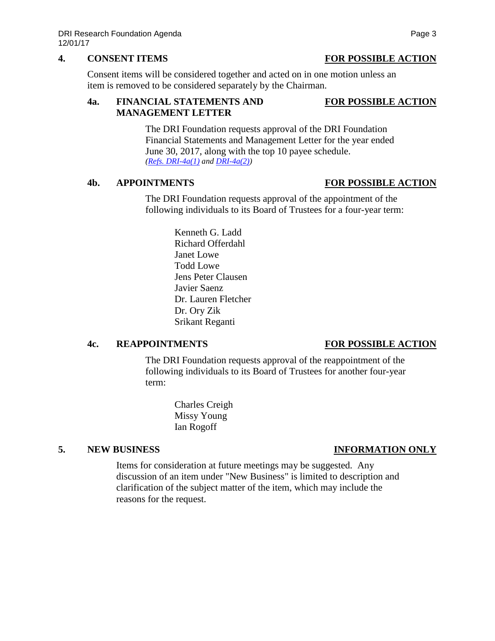## **4. CONSENT ITEMS FOR POSSIBLE ACTION**

Consent items will be considered together and acted on in one motion unless an item is removed to be considered separately by the Chairman.

### **4a. FINANCIAL STATEMENTS AND FOR POSSIBLE ACTION MANAGEMENT LETTER**

The DRI Foundation requests approval of the DRI Foundation Financial Statements and Management Letter for the year ended June 30, 2017, along with the top 10 payee schedule. *[\(Refs. DRI-4a\(1\)](https://nshe.nevada.edu/wp-content/uploads/file/BoardOfRegents/Agendas/2017/nov-mtgs/foundation-refs/dri/DRI-4a(1).pdf) and [DRI-4a\(2\)\)](https://nshe.nevada.edu/wp-content/uploads/file/BoardOfRegents/Agendas/2017/nov-mtgs/foundation-refs/dri/DRI-4a(2).pdf)*

# **4b. APPOINTMENTS FOR POSSIBLE ACTION**

The DRI Foundation requests approval of the appointment of the following individuals to its Board of Trustees for a four-year term:

> Kenneth G. Ladd Richard Offerdahl Janet Lowe Todd Lowe Jens Peter Clausen Javier Saenz Dr. Lauren Fletcher Dr. Ory Zik Srikant Reganti

## **4c. REAPPOINTMENTS FOR POSSIBLE ACTION**

The DRI Foundation requests approval of the reappointment of the following individuals to its Board of Trustees for another four-year term:

> Charles Creigh Missy Young Ian Rogoff

# **5. NEW BUSINESS INFORMATION ONLY**

Items for consideration at future meetings may be suggested. Any discussion of an item under "New Business" is limited to description and clarification of the subject matter of the item, which may include the reasons for the request.